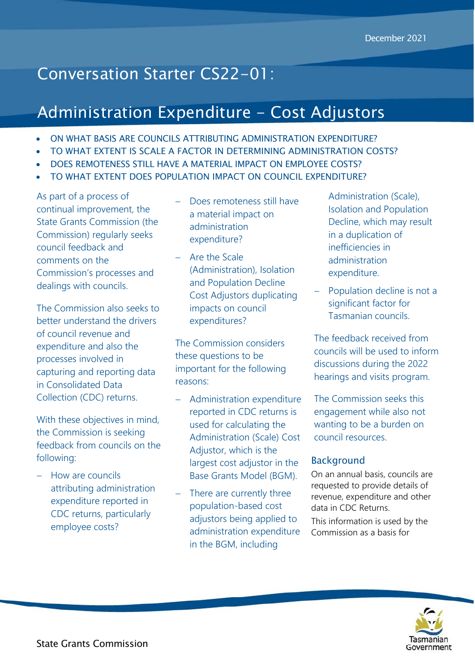# Conversation Starter CS22-01:

# Administration Expenditure - Cost Adjustors

- ON WHAT BASIS ARE COUNCILS ATTRIBUTING ADMINISTRATION EXPENDITURE?
- TO WHAT EXTENT IS SCALE A FACTOR IN DETERMINING ADMINISTRATION COSTS?
- DOES REMOTENESS STILL HAVE A MATERIAL IMPACT ON EMPLOYEE COSTS?
- TO WHAT EXTENT DOES POPULATION IMPACT ON COUNCIL EXPENDITURE?

As part of a process of continual improvement, the State Grants Commission (the Commission) regularly seeks council feedback and comments on the Commission's processes and dealings with councils.

The Commission also seeks to better understand the drivers of council revenue and expenditure and also the processes involved in capturing and reporting data in Consolidated Data Collection (CDC) returns.

With these objectives in mind, the Commission is seeking feedback from councils on the following:

- How are councils attributing administration expenditure reported in CDC returns, particularly employee costs?

- Does remoteness still have a material impact on administration expenditure?
- Are the Scale (Administration), Isolation and Population Decline Cost Adjustors duplicating impacts on council expenditures?

The Commission considers these questions to be important for the following reasons:

- Administration expenditure reported in CDC returns is used for calculating the Administration (Scale) Cost Adjustor, which is the largest cost adjustor in the Base Grants Model (BGM).
- There are currently three population-based cost adjustors being applied to administration expenditure in the BGM, including

Administration (Scale), Isolation and Population Decline, which may result in a duplication of inefficiencies in administration expenditure.

 Population decline is not a significant factor for Tasmanian councils.

The feedback received from councils will be used to inform discussions during the 2022 hearings and visits program.

The Commission seeks this engagement while also not wanting to be a burden on council resources.

## Background

On an annual basis, councils are requested to provide details of revenue, expenditure and other data in CDC Returns. This information is used by the Commission as a basis for

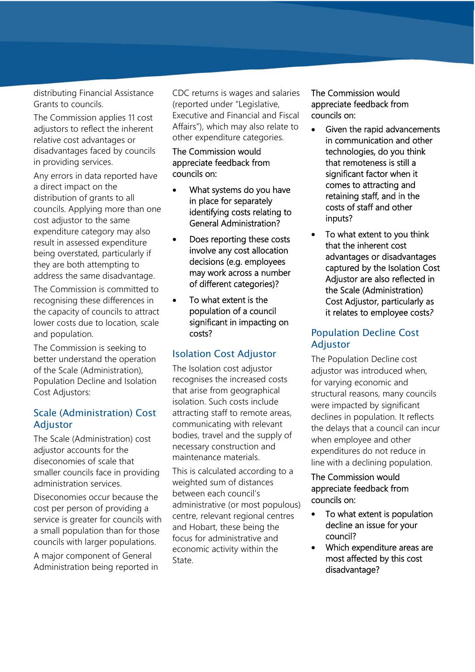distributing Financial Assistance Grants to councils.

The Commission applies 11 cost adjustors to reflect the inherent relative cost advantages or disadvantages faced by councils in providing services.

Any errors in data reported have a direct impact on the distribution of grants to all councils. Applying more than one cost adjustor to the same expenditure category may also result in assessed expenditure being overstated, particularly if they are both attempting to address the same disadvantage.

The Commission is committed to recognising these differences in the capacity of councils to attract lower costs due to location, scale and population.

The Commission is seeking to better understand the operation of the Scale (Administration), Population Decline and Isolation Cost Adjustors:

# Scale (Administration) Cost Adjustor

The Scale (Administration) cost adjustor accounts for the diseconomies of scale that smaller councils face in providing administration services.

Diseconomies occur because the cost per person of providing a service is greater for councils with a small population than for those councils with larger populations.

A major component of General Administration being reported in CDC returns is wages and salaries (reported under "Legislative, Executive and Financial and Fiscal Affairs"), which may also relate to other expenditure categories.

#### The Commission would appreciate feedback from councils on:

- What systems do you have in place for separately identifying costs relating to General Administration?
- Does reporting these costs involve any costallocation decisions (e.g. employees may work across a number of different categories)?
- To what extent is the population of a council significant in impacting on costs?

# Isolation Cost Adjustor

The Isolation cost adjustor recognises the increased costs that arise from geographical isolation. Such costs include attracting staff to remote areas, communicating with relevant bodies, travel and the supply of necessary construction and maintenance materials.

This is calculated according to a weighted sum of distances between each council's administrative (or most populous) centre, relevant regional centres and Hobart, these being the focus for administrative and economic activity within the State.

The Commission would appreciate feedback from councils on:

- Given the rapid advancements in communication and other technologies, do you think that remoteness is still a significant factor when it comes to attracting and retaining staff, and in the costs of staff and other inputs?
- To what extent to you think that the inherent cost advantages or disadvantages captured by the Isolation Cost Adjustor are also reflected in the Scale (Administration) Cost Adjustor, particularly as it relates to employee costs*?*

## Population Decline Cost Adjustor

The Population Decline cost adjustor was introduced when, for varying economic and structural reasons, many councils were impacted by significant declines in population. It reflects the delays that a council can incur when employee and other expenditures do not reduce in line with a declining population.

## The Commission would appreciate feedback from councils on:

- To what extent is population decline an issue for your council?
- Which expenditure areas are most affected by this cost disadvantage?